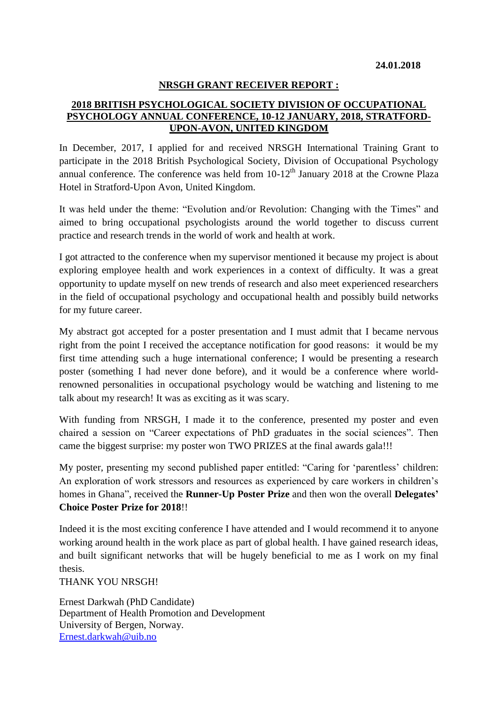## **NRSGH GRANT RECEIVER REPORT :**

## **2018 BRITISH PSYCHOLOGICAL SOCIETY DIVISION OF OCCUPATIONAL PSYCHOLOGY ANNUAL CONFERENCE, 10-12 JANUARY, 2018, STRATFORD-UPON-AVON, UNITED KINGDOM**

In December, 2017, I applied for and received NRSGH International Training Grant to participate in the 2018 British Psychological Society, Division of Occupational Psychology annual conference. The conference was held from  $10-12^{th}$  January 2018 at the Crowne Plaza Hotel in Stratford-Upon Avon, United Kingdom.

It was held under the theme: "Evolution and/or Revolution: Changing with the Times" and aimed to bring occupational psychologists around the world together to discuss current practice and research trends in the world of work and health at work.

I got attracted to the conference when my supervisor mentioned it because my project is about exploring employee health and work experiences in a context of difficulty. It was a great opportunity to update myself on new trends of research and also meet experienced researchers in the field of occupational psychology and occupational health and possibly build networks for my future career.

My abstract got accepted for a poster presentation and I must admit that I became nervous right from the point I received the acceptance notification for good reasons: it would be my first time attending such a huge international conference; I would be presenting a research poster (something I had never done before), and it would be a conference where worldrenowned personalities in occupational psychology would be watching and listening to me talk about my research! It was as exciting as it was scary.

With funding from NRSGH, I made it to the conference, presented my poster and even chaired a session on "Career expectations of PhD graduates in the social sciences". Then came the biggest surprise: my poster won TWO PRIZES at the final awards gala!!!

My poster, presenting my second published paper entitled: "Caring for 'parentless' children: An exploration of work stressors and resources as experienced by care workers in children's homes in Ghana", received the **Runner-Up Poster Prize** and then won the overall **Delegates' Choice Poster Prize for 2018**!!

Indeed it is the most exciting conference I have attended and I would recommend it to anyone working around health in the work place as part of global health. I have gained research ideas, and built significant networks that will be hugely beneficial to me as I work on my final thesis.

THANK YOU NRSGH!

Ernest Darkwah (PhD Candidate) Department of Health Promotion and Development University of Bergen, Norway. [Ernest.darkwah@uib.no](mailto:Ernest.darkwah@uib.no)